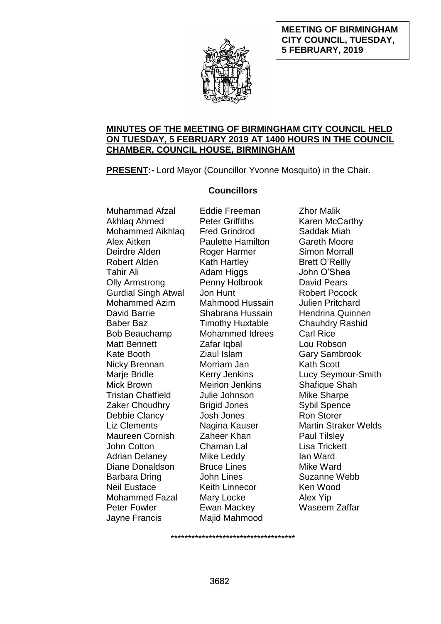### **MEETING OF BIRMINGHAM CITY COUNCIL, TUESDAY, 5 FEBRUARY, 2019**



### **MINUTES OF THE MEETING OF BIRMINGHAM CITY COUNCIL HELD ON TUESDAY, 5 FEBRUARY 2019 AT 1400 HOURS IN THE COUNCIL CHAMBER, COUNCIL HOUSE, BIRMINGHAM**

**PRESENT:-** Lord Mayor (Councillor Yvonne Mosquito) in the Chair.

# **Councillors**

Muhammad Afzal Akhlaq Ahmed Mohammed Aikhlaq Alex Aitken Deirdre Alden Robert Alden Tahir Ali Olly Armstrong Gurdial Singh Atwal Mohammed Azim David Barrie Baber Baz Bob Beauchamp Matt Bennett Kate Booth Nicky Brennan Marje Bridle Mick Brown Tristan Chatfield Zaker Choudhry Debbie Clancy Liz Clements Maureen Cornish John Cotton Adrian Delaney Diane Donaldson Barbara Dring Neil Eustace Mohammed Fazal Peter Fowler Jayne Francis

Eddie Freeman Peter Griffiths Fred Grindrod Paulette Hamilton Roger Harmer Kath Hartley **Adam Higgs** Penny Holbrook Jon Hunt Mahmood Hussain Shabrana Hussain Timothy Huxtable Mohammed Idrees Zafar Iqbal Ziaul Islam Morriam Jan Kerry Jenkins Meirion Jenkins Julie Johnson Brigid Jones Josh Jones Nagina Kauser Zaheer Khan Chaman Lal Mike Leddy Bruce Lines John Lines Keith Linnecor Mary Locke Ewan Mackey Majid Mahmood

Zhor Malik Karen McCarthy Saddak Miah Gareth Moore Simon Morrall Brett O'Reilly John O'Shea David Pears Robert Pocock Julien Pritchard Hendrina Quinnen Chauhdry Rashid Carl Rice Lou Robson Gary Sambrook Kath Scott Lucy Seymour-Smith Shafique Shah Mike Sharpe Sybil Spence Ron Storer Martin Straker Welds Paul Tilsley Lisa Trickett Ian Ward Mike Ward Suzanne Webb Ken Wood Alex Yip Waseem Zaffar

\*\*\*\*\*\*\*\*\*\*\*\*\*\*\*\*\*\*\*\*\*\*\*\*\*\*\*\*\*\*\*\*\*\*\*\*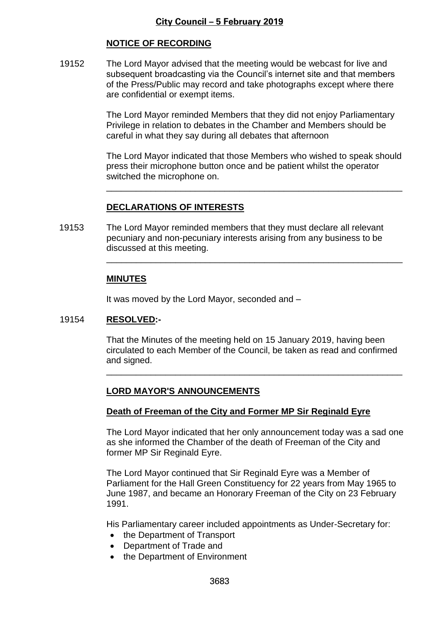# **NOTICE OF RECORDING**

19152 The Lord Mayor advised that the meeting would be webcast for live and subsequent broadcasting via the Council's internet site and that members of the Press/Public may record and take photographs except where there are confidential or exempt items.

> The Lord Mayor reminded Members that they did not enjoy Parliamentary Privilege in relation to debates in the Chamber and Members should be careful in what they say during all debates that afternoon

The Lord Mayor indicated that those Members who wished to speak should press their microphone button once and be patient whilst the operator switched the microphone on.

\_\_\_\_\_\_\_\_\_\_\_\_\_\_\_\_\_\_\_\_\_\_\_\_\_\_\_\_\_\_\_\_\_\_\_\_\_\_\_\_\_\_\_\_\_\_\_\_\_\_\_\_\_\_\_\_\_\_\_\_

\_\_\_\_\_\_\_\_\_\_\_\_\_\_\_\_\_\_\_\_\_\_\_\_\_\_\_\_\_\_\_\_\_\_\_\_\_\_\_\_\_\_\_\_\_\_\_\_\_\_\_\_\_\_\_\_\_\_\_\_

# **DECLARATIONS OF INTERESTS**

19153 The Lord Mayor reminded members that they must declare all relevant pecuniary and non-pecuniary interests arising from any business to be discussed at this meeting.

# **MINUTES**

It was moved by the Lord Mayor, seconded and –

#### 19154 **RESOLVED:-**

That the Minutes of the meeting held on 15 January 2019, having been circulated to each Member of the Council, be taken as read and confirmed and signed.

\_\_\_\_\_\_\_\_\_\_\_\_\_\_\_\_\_\_\_\_\_\_\_\_\_\_\_\_\_\_\_\_\_\_\_\_\_\_\_\_\_\_\_\_\_\_\_\_\_\_\_\_\_\_\_\_\_\_\_\_

# **LORD MAYOR'S ANNOUNCEMENTS**

#### **Death of Freeman of the City and Former MP Sir Reginald Eyre**

The Lord Mayor indicated that her only announcement today was a sad one as she informed the Chamber of the death of Freeman of the City and former MP Sir Reginald Eyre.

The Lord Mayor continued that Sir Reginald Eyre was a Member of Parliament for the Hall Green Constituency for 22 years from May 1965 to June 1987, and became an Honorary Freeman of the City on 23 February 1991.

His Parliamentary career included appointments as Under-Secretary for:

- the Department of Transport
- Department of Trade and
- the Department of Environment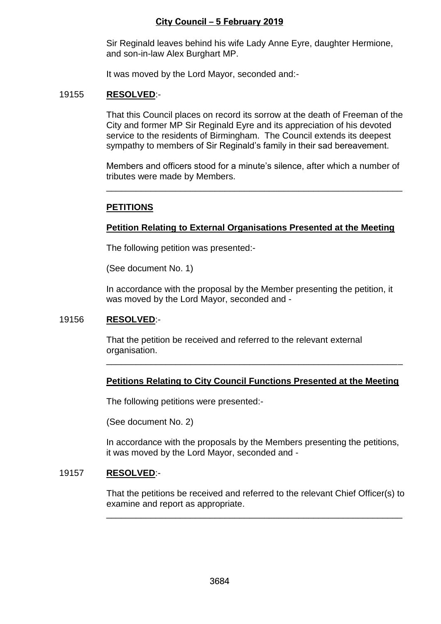Sir Reginald leaves behind his wife Lady Anne Eyre, daughter Hermione, and son-in-law Alex Burghart MP.

It was moved by the Lord Mayor, seconded and:-

#### 19155 **RESOLVED**:-

That this Council places on record its sorrow at the death of Freeman of the City and former MP Sir Reginald Eyre and its appreciation of his devoted service to the residents of Birmingham. The Council extends its deepest sympathy to members of Sir Reginald's family in their sad bereavement.

Members and officers stood for a minute's silence, after which a number of tributes were made by Members.

\_\_\_\_\_\_\_\_\_\_\_\_\_\_\_\_\_\_\_\_\_\_\_\_\_\_\_\_\_\_\_\_\_\_\_\_\_\_\_\_\_\_\_\_\_\_\_\_\_\_\_\_\_\_\_\_\_\_\_\_

### **PETITIONS**

### **Petition Relating to External Organisations Presented at the Meeting**

The following petition was presented:-

(See document No. 1)

In accordance with the proposal by the Member presenting the petition, it was moved by the Lord Mayor, seconded and -

#### 19156 **RESOLVED**:-

That the petition be received and referred to the relevant external organisation.

#### **Petitions Relating to City Council Functions Presented at the Meeting**

\_\_\_\_\_\_\_\_\_\_\_\_\_\_\_\_\_\_\_\_\_\_\_\_\_\_\_\_\_\_\_\_\_\_\_\_\_\_\_\_\_\_\_\_\_\_\_\_\_\_\_\_\_\_\_\_\_\_\_\_

The following petitions were presented:-

(See document No. 2)

In accordance with the proposals by the Members presenting the petitions, it was moved by the Lord Mayor, seconded and -

#### 19157 **RESOLVED**:-

That the petitions be received and referred to the relevant Chief Officer(s) to examine and report as appropriate.

\_\_\_\_\_\_\_\_\_\_\_\_\_\_\_\_\_\_\_\_\_\_\_\_\_\_\_\_\_\_\_\_\_\_\_\_\_\_\_\_\_\_\_\_\_\_\_\_\_\_\_\_\_\_\_\_\_\_\_\_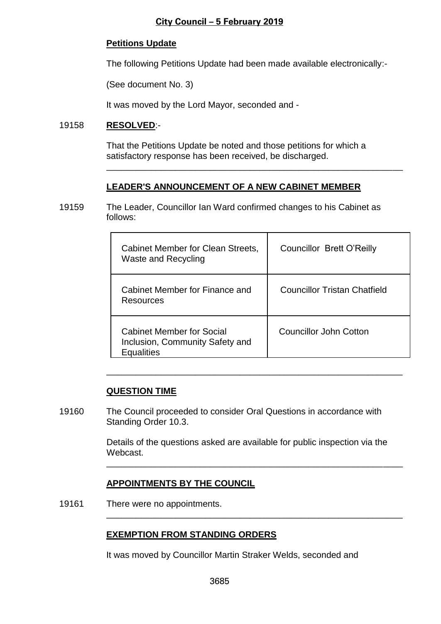### **Petitions Update**

The following Petitions Update had been made available electronically:-

(See document No. 3)

It was moved by the Lord Mayor, seconded and -

#### 19158 **RESOLVED**:-

That the Petitions Update be noted and those petitions for which a satisfactory response has been received, be discharged.

\_\_\_\_\_\_\_\_\_\_\_\_\_\_\_\_\_\_\_\_\_\_\_\_\_\_\_\_\_\_\_\_\_\_\_\_\_\_\_\_\_\_\_\_\_\_\_\_\_\_\_\_\_\_\_\_\_\_\_\_

#### **LEADER'S ANNOUNCEMENT OF A NEW CABINET MEMBER**

19159 The Leader, Councillor Ian Ward confirmed changes to his Cabinet as follows:

| Cabinet Member for Clean Streets,<br>Waste and Recycling                                 | <b>Councillor Brett O'Reilly</b>    |
|------------------------------------------------------------------------------------------|-------------------------------------|
| Cabinet Member for Finance and<br>Resources                                              | <b>Councillor Tristan Chatfield</b> |
| <b>Cabinet Member for Social</b><br>Inclusion, Community Safety and<br><b>Equalities</b> | Councillor John Cotton              |

#### **QUESTION TIME**

19160 The Council proceeded to consider Oral Questions in accordance with Standing Order 10.3.

> Details of the questions asked are available for public inspection via the Webcast.

\_\_\_\_\_\_\_\_\_\_\_\_\_\_\_\_\_\_\_\_\_\_\_\_\_\_\_\_\_\_\_\_\_\_\_\_\_\_\_\_\_\_\_\_\_\_\_\_\_\_\_\_\_\_\_\_\_\_\_\_

\_\_\_\_\_\_\_\_\_\_\_\_\_\_\_\_\_\_\_\_\_\_\_\_\_\_\_\_\_\_\_\_\_\_\_\_\_\_\_\_\_\_\_\_\_\_\_\_\_\_\_\_\_\_\_\_\_\_\_\_

\_\_\_\_\_\_\_\_\_\_\_\_\_\_\_\_\_\_\_\_\_\_\_\_\_\_\_\_\_\_\_\_\_\_\_\_\_\_\_\_\_\_\_\_\_\_\_\_\_\_\_\_\_\_\_\_\_\_\_\_

# **APPOINTMENTS BY THE COUNCIL**

19161 There were no appointments.

# **EXEMPTION FROM STANDING ORDERS**

It was moved by Councillor Martin Straker Welds, seconded and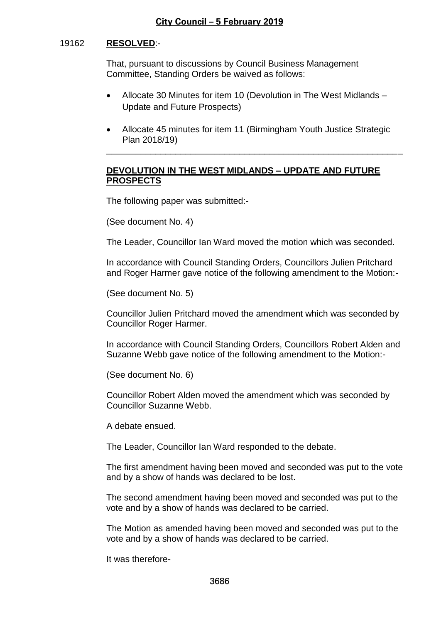### 19162 **RESOLVED**:-

That, pursuant to discussions by Council Business Management Committee, Standing Orders be waived as follows:

- Allocate 30 Minutes for item 10 (Devolution in The West Midlands Update and Future Prospects)
- Allocate 45 minutes for item 11 (Birmingham Youth Justice Strategic Plan 2018/19)

\_\_\_\_\_\_\_\_\_\_\_\_\_\_\_\_\_\_\_\_\_\_\_\_\_\_\_\_\_\_\_\_\_\_\_\_\_\_\_\_\_\_\_\_\_\_\_\_\_\_\_\_\_\_\_\_\_\_\_\_

### **DEVOLUTION IN THE WEST MIDLANDS – UPDATE AND FUTURE PROSPECTS**

The following paper was submitted:-

(See document No. 4)

The Leader, Councillor Ian Ward moved the motion which was seconded.

In accordance with Council Standing Orders, Councillors Julien Pritchard and Roger Harmer gave notice of the following amendment to the Motion:-

(See document No. 5)

Councillor Julien Pritchard moved the amendment which was seconded by Councillor Roger Harmer.

In accordance with Council Standing Orders, Councillors Robert Alden and Suzanne Webb gave notice of the following amendment to the Motion:-

(See document No. 6)

Councillor Robert Alden moved the amendment which was seconded by Councillor Suzanne Webb.

A debate ensued.

The Leader, Councillor Ian Ward responded to the debate.

The first amendment having been moved and seconded was put to the vote and by a show of hands was declared to be lost.

The second amendment having been moved and seconded was put to the vote and by a show of hands was declared to be carried.

The Motion as amended having been moved and seconded was put to the vote and by a show of hands was declared to be carried.

It was therefore-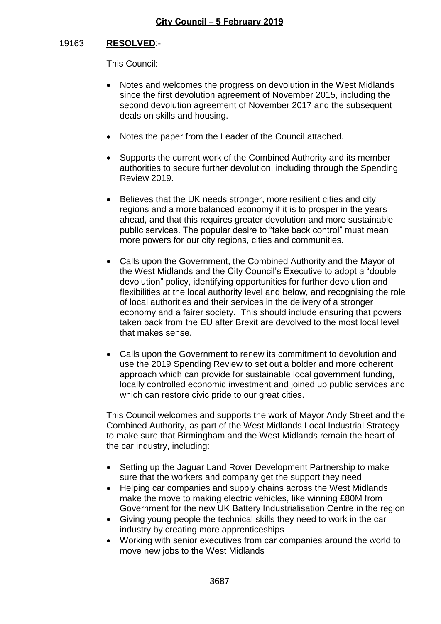# 19163 **RESOLVED**:-

This Council:

- Notes and welcomes the progress on devolution in the West Midlands since the first devolution agreement of November 2015, including the second devolution agreement of November 2017 and the subsequent deals on skills and housing.
- Notes the paper from the Leader of the Council attached.
- Supports the current work of the Combined Authority and its member authorities to secure further devolution, including through the Spending Review 2019.
- Believes that the UK needs stronger, more resilient cities and city regions and a more balanced economy if it is to prosper in the years ahead, and that this requires greater devolution and more sustainable public services. The popular desire to "take back control" must mean more powers for our city regions, cities and communities.
- Calls upon the Government, the Combined Authority and the Mayor of the West Midlands and the City Council's Executive to adopt a "double devolution" policy, identifying opportunities for further devolution and flexibilities at the local authority level and below, and recognising the role of local authorities and their services in the delivery of a stronger economy and a fairer society. This should include ensuring that powers taken back from the EU after Brexit are devolved to the most local level that makes sense.
- Calls upon the Government to renew its commitment to devolution and use the 2019 Spending Review to set out a bolder and more coherent approach which can provide for sustainable local government funding, locally controlled economic investment and joined up public services and which can restore civic pride to our great cities.

This Council welcomes and supports the work of Mayor Andy Street and the Combined Authority, as part of the West Midlands Local Industrial Strategy to make sure that Birmingham and the West Midlands remain the heart of the car industry, including:

- Setting up the Jaguar Land Rover Development Partnership to make sure that the workers and company get the support they need
- Helping car companies and supply chains across the West Midlands make the move to making electric vehicles, like winning £80M from Government for the new UK Battery Industrialisation Centre in the region
- Giving young people the technical skills they need to work in the car industry by creating more apprenticeships
- Working with senior executives from car companies around the world to move new jobs to the West Midlands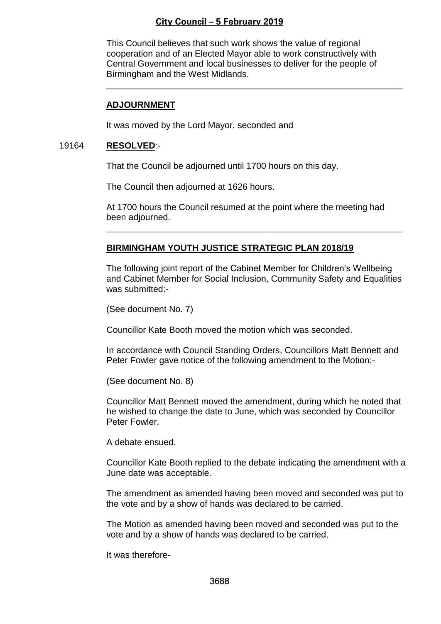This Council believes that such work shows the value of regional cooperation and of an Elected Mayor able to work constructively with Central Government and local businesses to deliver for the people of Birmingham and the West Midlands.

\_\_\_\_\_\_\_\_\_\_\_\_\_\_\_\_\_\_\_\_\_\_\_\_\_\_\_\_\_\_\_\_\_\_\_\_\_\_\_\_\_\_\_\_\_\_\_\_\_\_\_\_\_\_\_\_\_\_\_\_

#### **ADJOURNMENT**

It was moved by the Lord Mayor, seconded and

#### 19164 **RESOLVED**:-

That the Council be adjourned until 1700 hours on this day.

The Council then adjourned at 1626 hours.

At 1700 hours the Council resumed at the point where the meeting had been adjourned.

\_\_\_\_\_\_\_\_\_\_\_\_\_\_\_\_\_\_\_\_\_\_\_\_\_\_\_\_\_\_\_\_\_\_\_\_\_\_\_\_\_\_\_\_\_\_\_\_\_\_\_\_\_\_\_\_\_\_\_\_

#### **BIRMINGHAM YOUTH JUSTICE STRATEGIC PLAN 2018/19**

The following joint report of the Cabinet Member for Children's Wellbeing and Cabinet Member for Social Inclusion, Community Safety and Equalities was submitted:-

(See document No. 7)

Councillor Kate Booth moved the motion which was seconded.

In accordance with Council Standing Orders, Councillors Matt Bennett and Peter Fowler gave notice of the following amendment to the Motion:-

(See document No. 8)

Councillor Matt Bennett moved the amendment, during which he noted that he wished to change the date to June, which was seconded by Councillor Peter Fowler.

A debate ensued.

Councillor Kate Booth replied to the debate indicating the amendment with a June date was acceptable.

The amendment as amended having been moved and seconded was put to the vote and by a show of hands was declared to be carried.

The Motion as amended having been moved and seconded was put to the vote and by a show of hands was declared to be carried.

It was therefore-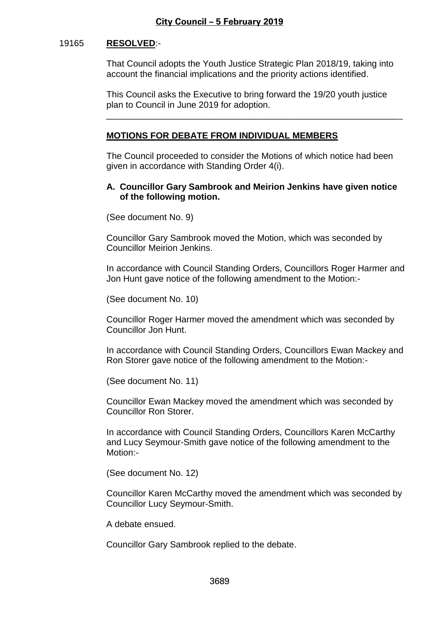#### 19165 **RESOLVED**:-

That Council adopts the Youth Justice Strategic Plan 2018/19, taking into account the financial implications and the priority actions identified.

This Council asks the Executive to bring forward the 19/20 youth justice plan to Council in June 2019 for adoption.

\_\_\_\_\_\_\_\_\_\_\_\_\_\_\_\_\_\_\_\_\_\_\_\_\_\_\_\_\_\_\_\_\_\_\_\_\_\_\_\_\_\_\_\_\_\_\_\_\_\_\_\_\_\_\_\_\_\_\_\_

### **MOTIONS FOR DEBATE FROM INDIVIDUAL MEMBERS**

The Council proceeded to consider the Motions of which notice had been given in accordance with Standing Order 4(i).

### **A. Councillor Gary Sambrook and Meirion Jenkins have given notice of the following motion.**

(See document No. 9)

Councillor Gary Sambrook moved the Motion, which was seconded by Councillor Meirion Jenkins.

In accordance with Council Standing Orders, Councillors Roger Harmer and Jon Hunt gave notice of the following amendment to the Motion:-

(See document No. 10)

Councillor Roger Harmer moved the amendment which was seconded by Councillor Jon Hunt.

In accordance with Council Standing Orders, Councillors Ewan Mackey and Ron Storer gave notice of the following amendment to the Motion:-

(See document No. 11)

Councillor Ewan Mackey moved the amendment which was seconded by Councillor Ron Storer.

In accordance with Council Standing Orders, Councillors Karen McCarthy and Lucy Seymour-Smith gave notice of the following amendment to the Motion:-

(See document No. 12)

Councillor Karen McCarthy moved the amendment which was seconded by Councillor Lucy Seymour-Smith.

A debate ensued.

Councillor Gary Sambrook replied to the debate.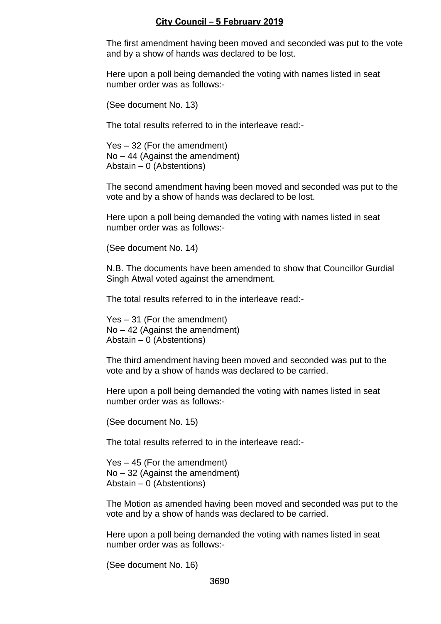The first amendment having been moved and seconded was put to the vote and by a show of hands was declared to be lost.

Here upon a poll being demanded the voting with names listed in seat number order was as follows:-

(See document No. 13)

The total results referred to in the interleave read:-

Yes – 32 (For the amendment) No – 44 (Against the amendment) Abstain – 0 (Abstentions)

The second amendment having been moved and seconded was put to the vote and by a show of hands was declared to be lost.

Here upon a poll being demanded the voting with names listed in seat number order was as follows:-

(See document No. 14)

N.B. The documents have been amended to show that Councillor Gurdial Singh Atwal voted against the amendment.

The total results referred to in the interleave read:-

Yes – 31 (For the amendment) No – 42 (Against the amendment) Abstain – 0 (Abstentions)

The third amendment having been moved and seconded was put to the vote and by a show of hands was declared to be carried.

Here upon a poll being demanded the voting with names listed in seat number order was as follows:-

(See document No. 15)

The total results referred to in the interleave read:-

Yes – 45 (For the amendment) No – 32 (Against the amendment) Abstain – 0 (Abstentions)

The Motion as amended having been moved and seconded was put to the vote and by a show of hands was declared to be carried.

Here upon a poll being demanded the voting with names listed in seat number order was as follows:-

(See document No. 16)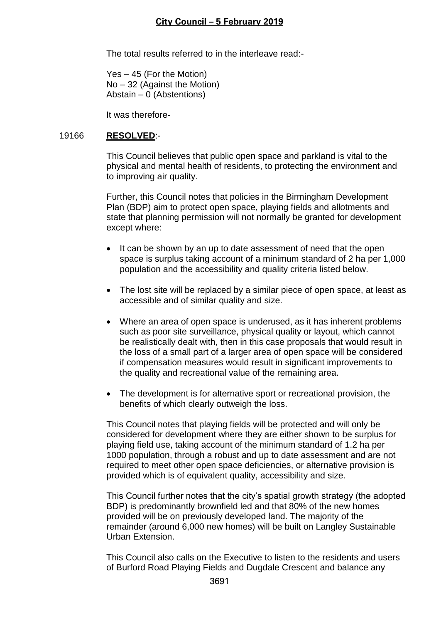The total results referred to in the interleave read:-

Yes – 45 (For the Motion) No – 32 (Against the Motion) Abstain – 0 (Abstentions)

It was therefore-

### 19166 **RESOLVED**:-

This Council believes that public open space and parkland is vital to the physical and mental health of residents, to protecting the environment and to improving air quality.

Further, this Council notes that policies in the Birmingham Development Plan (BDP) aim to protect open space, playing fields and allotments and state that planning permission will not normally be granted for development except where:

- It can be shown by an up to date assessment of need that the open space is surplus taking account of a minimum standard of 2 ha per 1,000 population and the accessibility and quality criteria listed below.
- The lost site will be replaced by a similar piece of open space, at least as accessible and of similar quality and size.
- Where an area of open space is underused, as it has inherent problems such as poor site surveillance, physical quality or layout, which cannot be realistically dealt with, then in this case proposals that would result in the loss of a small part of a larger area of open space will be considered if compensation measures would result in significant improvements to the quality and recreational value of the remaining area.
- The development is for alternative sport or recreational provision, the benefits of which clearly outweigh the loss.

This Council notes that playing fields will be protected and will only be considered for development where they are either shown to be surplus for playing field use, taking account of the minimum standard of 1.2 ha per 1000 population, through a robust and up to date assessment and are not required to meet other open space deficiencies, or alternative provision is provided which is of equivalent quality, accessibility and size.

This Council further notes that the city's spatial growth strategy (the adopted BDP) is predominantly brownfield led and that 80% of the new homes provided will be on previously developed land. The majority of the remainder (around 6,000 new homes) will be built on Langley Sustainable Urban Extension.

This Council also calls on the Executive to listen to the residents and users of Burford Road Playing Fields and Dugdale Crescent and balance any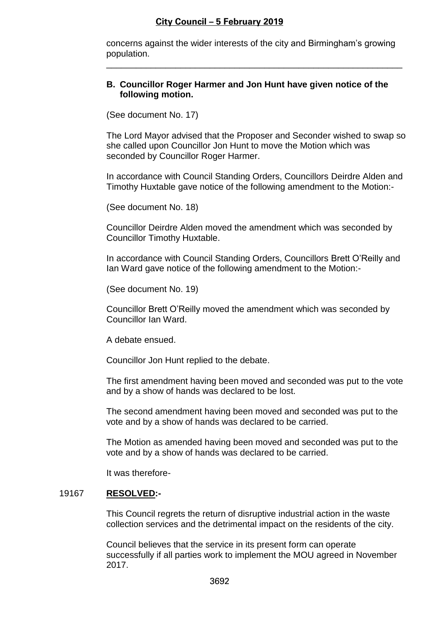concerns against the wider interests of the city and Birmingham's growing population.

\_\_\_\_\_\_\_\_\_\_\_\_\_\_\_\_\_\_\_\_\_\_\_\_\_\_\_\_\_\_\_\_\_\_\_\_\_\_\_\_\_\_\_\_\_\_\_\_\_\_\_\_\_\_\_\_\_\_\_\_

#### **B. Councillor Roger Harmer and Jon Hunt have given notice of the following motion.**

(See document No. 17)

The Lord Mayor advised that the Proposer and Seconder wished to swap so she called upon Councillor Jon Hunt to move the Motion which was seconded by Councillor Roger Harmer.

In accordance with Council Standing Orders, Councillors Deirdre Alden and Timothy Huxtable gave notice of the following amendment to the Motion:-

(See document No. 18)

Councillor Deirdre Alden moved the amendment which was seconded by Councillor Timothy Huxtable.

In accordance with Council Standing Orders, Councillors Brett O'Reilly and Ian Ward gave notice of the following amendment to the Motion:-

(See document No. 19)

Councillor Brett O'Reilly moved the amendment which was seconded by Councillor Ian Ward.

A debate ensued.

Councillor Jon Hunt replied to the debate.

The first amendment having been moved and seconded was put to the vote and by a show of hands was declared to be lost.

The second amendment having been moved and seconded was put to the vote and by a show of hands was declared to be carried.

The Motion as amended having been moved and seconded was put to the vote and by a show of hands was declared to be carried.

It was therefore-

#### 19167 **RESOLVED:-**

This Council regrets the return of disruptive industrial action in the waste collection services and the detrimental impact on the residents of the city.

Council believes that the service in its present form can operate successfully if all parties work to implement the MOU agreed in November 2017.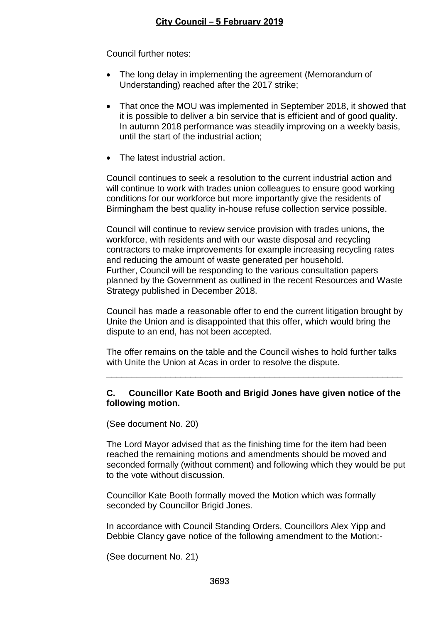Council further notes:

- The long delay in implementing the agreement (Memorandum of Understanding) reached after the 2017 strike;
- That once the MOU was implemented in September 2018, it showed that it is possible to deliver a bin service that is efficient and of good quality. In autumn 2018 performance was steadily improving on a weekly basis, until the start of the industrial action;
- The latest industrial action.

Council continues to seek a resolution to the current industrial action and will continue to work with trades union colleagues to ensure good working conditions for our workforce but more importantly give the residents of Birmingham the best quality in-house refuse collection service possible.

Council will continue to review service provision with trades unions, the workforce, with residents and with our waste disposal and recycling contractors to make improvements for example increasing recycling rates and reducing the amount of waste generated per household. Further, Council will be responding to the various consultation papers planned by the Government as outlined in the recent Resources and Waste Strategy published in December 2018.

Council has made a reasonable offer to end the current litigation brought by Unite the Union and is disappointed that this offer, which would bring the dispute to an end, has not been accepted.

The offer remains on the table and the Council wishes to hold further talks with Unite the Union at Acas in order to resolve the dispute.

\_\_\_\_\_\_\_\_\_\_\_\_\_\_\_\_\_\_\_\_\_\_\_\_\_\_\_\_\_\_\_\_\_\_\_\_\_\_\_\_\_\_\_\_\_\_\_\_\_\_\_\_\_\_\_\_\_\_\_\_

# **C. Councillor Kate Booth and Brigid Jones have given notice of the following motion.**

(See document No. 20)

The Lord Mayor advised that as the finishing time for the item had been reached the remaining motions and amendments should be moved and seconded formally (without comment) and following which they would be put to the vote without discussion.

Councillor Kate Booth formally moved the Motion which was formally seconded by Councillor Brigid Jones.

In accordance with Council Standing Orders, Councillors Alex Yipp and Debbie Clancy gave notice of the following amendment to the Motion:-

(See document No. 21)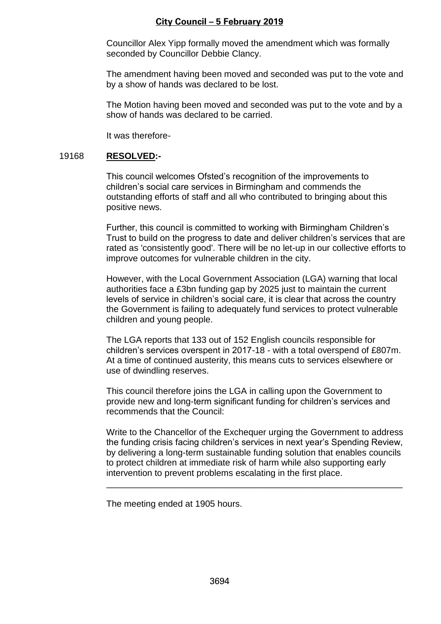Councillor Alex Yipp formally moved the amendment which was formally seconded by Councillor Debbie Clancy.

The amendment having been moved and seconded was put to the vote and by a show of hands was declared to be lost.

The Motion having been moved and seconded was put to the vote and by a show of hands was declared to be carried.

It was therefore-

#### 19168 **RESOLVED:-**

This council welcomes Ofsted's recognition of the improvements to children's social care services in Birmingham and commends the outstanding efforts of staff and all who contributed to bringing about this positive news.

Further, this council is committed to working with Birmingham Children's Trust to build on the progress to date and deliver children's services that are rated as 'consistently good'. There will be no let-up in our collective efforts to improve outcomes for vulnerable children in the city.

However, with the Local Government Association (LGA) warning that local authorities face a £3bn funding gap by 2025 just to maintain the current levels of service in children's social care, it is clear that across the country the Government is failing to adequately fund services to protect vulnerable children and young people.

The LGA reports that 133 out of 152 English councils responsible for children's services overspent in 2017-18 - with a total overspend of £807m. At a time of continued austerity, this means cuts to services elsewhere or use of dwindling reserves.

This council therefore joins the LGA in calling upon the Government to provide new and long-term significant funding for children's services and recommends that the Council:

Write to the Chancellor of the Exchequer urging the Government to address the funding crisis facing children's services in next year's Spending Review, by delivering a long-term sustainable funding solution that enables councils to protect children at immediate risk of harm while also supporting early intervention to prevent problems escalating in the first place.

\_\_\_\_\_\_\_\_\_\_\_\_\_\_\_\_\_\_\_\_\_\_\_\_\_\_\_\_\_\_\_\_\_\_\_\_\_\_\_\_\_\_\_\_\_\_\_\_\_\_\_\_\_\_\_\_\_\_\_\_

The meeting ended at 1905 hours.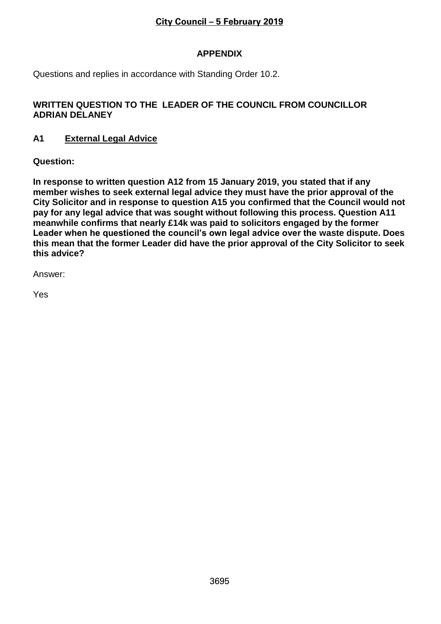# **APPENDIX**

Questions and replies in accordance with Standing Order 10.2.

# **WRITTEN QUESTION TO THE LEADER OF THE COUNCIL FROM COUNCILLOR ADRIAN DELANEY**

# **A1 External Legal Advice**

**Question:**

**In response to written question A12 from 15 January 2019, you stated that if any member wishes to seek external legal advice they must have the prior approval of the City Solicitor and in response to question A15 you confirmed that the Council would not pay for any legal advice that was sought without following this process. Question A11 meanwhile confirms that nearly £14k was paid to solicitors engaged by the former Leader when he questioned the council's own legal advice over the waste dispute. Does this mean that the former Leader did have the prior approval of the City Solicitor to seek this advice?** 

Answer:

Yes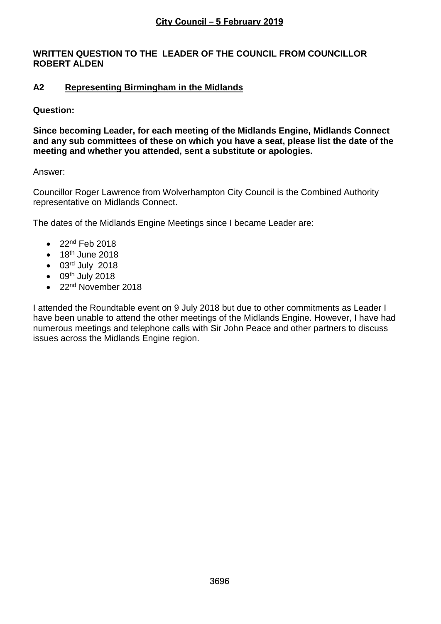# **WRITTEN QUESTION TO THE LEADER OF THE COUNCIL FROM COUNCILLOR ROBERT ALDEN**

# **A2 Representing Birmingham in the Midlands**

# **Question:**

**Since becoming Leader, for each meeting of the Midlands Engine, Midlands Connect and any sub committees of these on which you have a seat, please list the date of the meeting and whether you attended, sent a substitute or apologies.**

# Answer:

Councillor Roger Lawrence from Wolverhampton City Council is the Combined Authority representative on Midlands Connect.

The dates of the Midlands Engine Meetings since I became Leader are:

- $\bullet$  22<sup>nd</sup> Feb 2018
- $\bullet$  18<sup>th</sup> June 2018
- 03rd July 2018
- $\bullet$  09<sup>th</sup> July 2018
- 22<sup>nd</sup> November 2018

I attended the Roundtable event on 9 July 2018 but due to other commitments as Leader I have been unable to attend the other meetings of the Midlands Engine. However, I have had numerous meetings and telephone calls with Sir John Peace and other partners to discuss issues across the Midlands Engine region.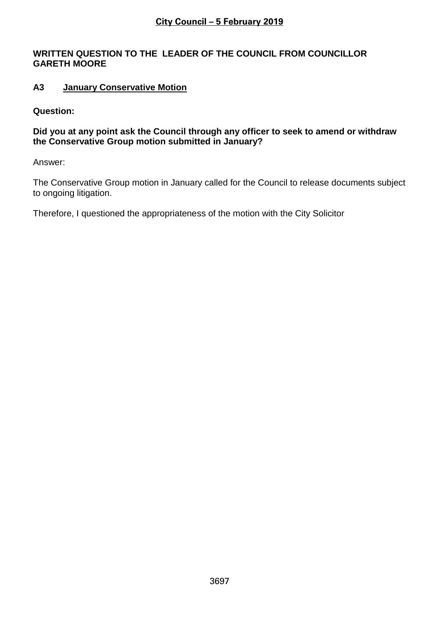### **WRITTEN QUESTION TO THE LEADER OF THE COUNCIL FROM COUNCILLOR GARETH MOORE**

# **A3 January Conservative Motion**

### **Question:**

# **Did you at any point ask the Council through any officer to seek to amend or withdraw the Conservative Group motion submitted in January?**

Answer:

The Conservative Group motion in January called for the Council to release documents subject to ongoing litigation.

Therefore, I questioned the appropriateness of the motion with the City Solicitor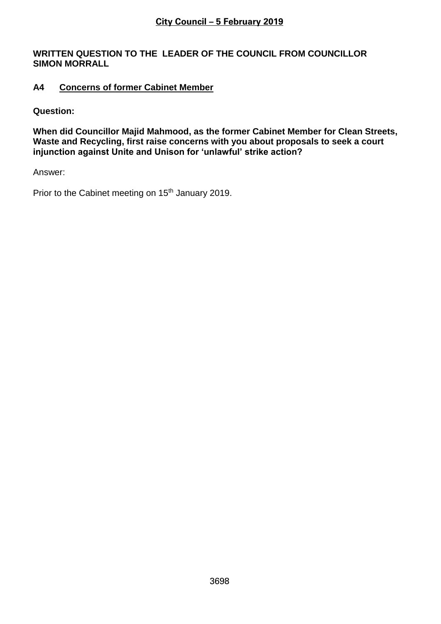### **WRITTEN QUESTION TO THE LEADER OF THE COUNCIL FROM COUNCILLOR SIMON MORRALL**

# **A4 Concerns of former Cabinet Member**

**Question:**

**When did Councillor Majid Mahmood, as the former Cabinet Member for Clean Streets, Waste and Recycling, first raise concerns with you about proposals to seek a court injunction against Unite and Unison for 'unlawful' strike action?**

Answer:

Prior to the Cabinet meeting on 15<sup>th</sup> January 2019.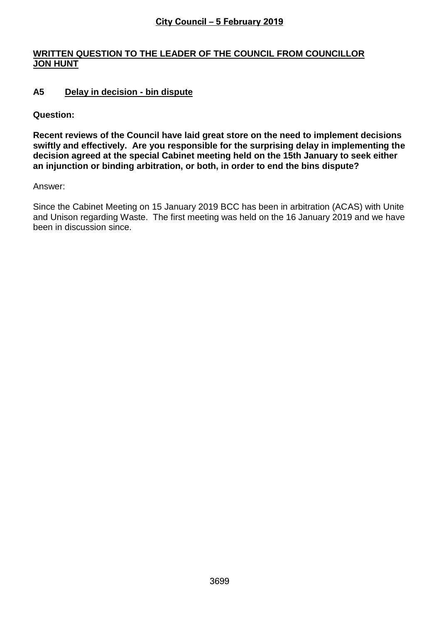# **WRITTEN QUESTION TO THE LEADER OF THE COUNCIL FROM COUNCILLOR JON HUNT**

# **A5 Delay in decision - bin dispute**

**Question:**

**Recent reviews of the Council have laid great store on the need to implement decisions swiftly and effectively. Are you responsible for the surprising delay in implementing the decision agreed at the special Cabinet meeting held on the 15th January to seek either an injunction or binding arbitration, or both, in order to end the bins dispute?**

Answer:

Since the Cabinet Meeting on 15 January 2019 BCC has been in arbitration (ACAS) with Unite and Unison regarding Waste. The first meeting was held on the 16 January 2019 and we have been in discussion since.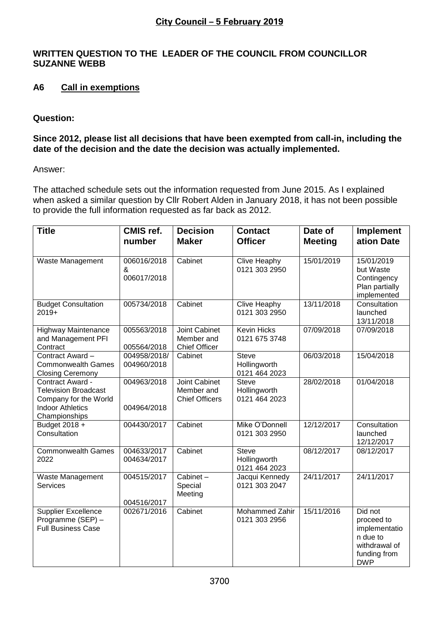# **WRITTEN QUESTION TO THE LEADER OF THE COUNCIL FROM COUNCILLOR SUZANNE WEBB**

# **A6 Call in exemptions**

### **Question:**

### **Since 2012, please list all decisions that have been exempted from call-in, including the date of the decision and the date the decision was actually implemented.**

Answer:

The attached schedule sets out the information requested from June 2015. As I explained when asked a similar question by Cllr Robert Alden in January 2018, it has not been possible to provide the full information requested as far back as 2012.

| <b>Title</b>                                                                                                         | <b>CMIS ref.</b><br>number      | <b>Decision</b><br><b>Maker</b>                             | <b>Contact</b><br><b>Officer</b>              | Date of<br><b>Meeting</b> | <b>Implement</b><br>ation Date                                                                    |
|----------------------------------------------------------------------------------------------------------------------|---------------------------------|-------------------------------------------------------------|-----------------------------------------------|---------------------------|---------------------------------------------------------------------------------------------------|
| Waste Management                                                                                                     | 006016/2018<br>&<br>006017/2018 | Cabinet                                                     | Clive Heaphy<br>0121 303 2950                 | 15/01/2019                | 15/01/2019<br>but Waste<br>Contingency<br>Plan partially<br>implemented                           |
| <b>Budget Consultation</b><br>$2019+$                                                                                | 005734/2018                     | Cabinet                                                     | <b>Clive Heaphy</b><br>0121 303 2950          | 13/11/2018                | Consultation<br>launched<br>13/11/2018                                                            |
| <b>Highway Maintenance</b><br>and Management PFI<br>Contract                                                         | 005563/2018<br>005564/2018      | Joint Cabinet<br>Member and<br><b>Chief Officer</b>         | <b>Kevin Hicks</b><br>0121 675 3748           | 07/09/2018                | 07/09/2018                                                                                        |
| Contract Award -<br><b>Commonwealth Games</b><br><b>Closing Ceremony</b>                                             | 004958/2018/<br>004960/2018     | Cabinet                                                     | <b>Steve</b><br>Hollingworth<br>0121 464 2023 | 06/03/2018                | 15/04/2018                                                                                        |
| Contract Award -<br><b>Television Broadcast</b><br>Company for the World<br><b>Indoor Athletics</b><br>Championships | 004963/2018<br>004964/2018      | <b>Joint Cabinet</b><br>Member and<br><b>Chief Officers</b> | <b>Steve</b><br>Hollingworth<br>0121 464 2023 | 28/02/2018                | 01/04/2018                                                                                        |
| Budget 2018 +<br>Consultation                                                                                        | 004430/2017                     | Cabinet                                                     | Mike O'Donnell<br>0121 303 2950               | 12/12/2017                | Consultation<br>launched<br>12/12/2017                                                            |
| <b>Commonwealth Games</b><br>2022                                                                                    | 004633/2017<br>004634/2017      | Cabinet                                                     | <b>Steve</b><br>Hollingworth<br>0121 464 2023 | 08/12/2017                | 08/12/2017                                                                                        |
| Waste Management<br><b>Services</b>                                                                                  | 004515/2017<br>004516/2017      | Cabinet-<br>Special<br>Meeting                              | Jacqui Kennedy<br>0121 303 2047               | 24/11/2017                | 24/11/2017                                                                                        |
| <b>Supplier Excellence</b><br>Programme (SEP) -<br><b>Full Business Case</b>                                         | 002671/2016                     | Cabinet                                                     | <b>Mohammed Zahir</b><br>0121 303 2956        | 15/11/2016                | Did not<br>proceed to<br>implementatio<br>n due to<br>withdrawal of<br>funding from<br><b>DWP</b> |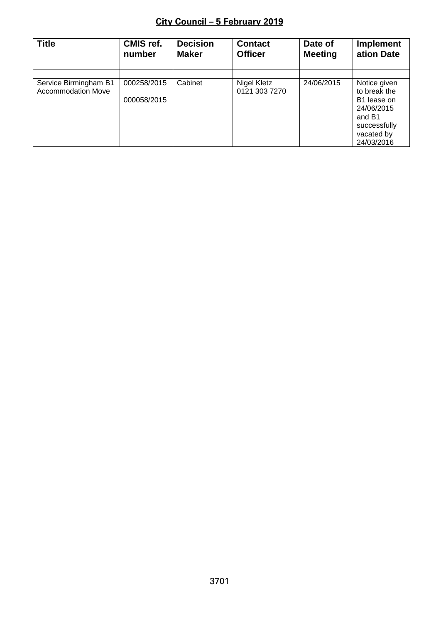| <b>Title</b>                                       | <b>CMIS ref.</b>           | <b>Decision</b> | <b>Contact</b>               | Date of        | <b>Implement</b>                                                                                                            |
|----------------------------------------------------|----------------------------|-----------------|------------------------------|----------------|-----------------------------------------------------------------------------------------------------------------------------|
|                                                    | number                     | <b>Maker</b>    | <b>Officer</b>               | <b>Meeting</b> | ation Date                                                                                                                  |
| Service Birmingham B1<br><b>Accommodation Move</b> | 000258/2015<br>000058/2015 | Cabinet         | Nigel Kletz<br>0121 303 7270 | 24/06/2015     | Notice given<br>to break the<br>B <sub>1</sub> lease on<br>24/06/2015<br>and B1<br>successfully<br>vacated by<br>24/03/2016 |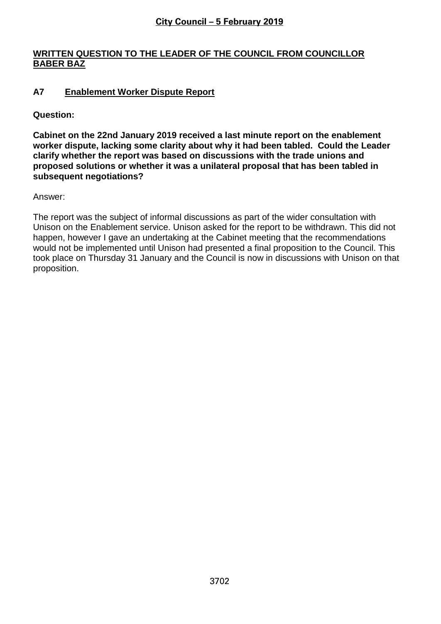# **WRITTEN QUESTION TO THE LEADER OF THE COUNCIL FROM COUNCILLOR BABER BAZ**

# **A7 Enablement Worker Dispute Report**

**Question:**

**Cabinet on the 22nd January 2019 received a last minute report on the enablement worker dispute, lacking some clarity about why it had been tabled. Could the Leader clarify whether the report was based on discussions with the trade unions and proposed solutions or whether it was a unilateral proposal that has been tabled in subsequent negotiations?**

Answer:

The report was the subject of informal discussions as part of the wider consultation with Unison on the Enablement service. Unison asked for the report to be withdrawn. This did not happen, however I gave an undertaking at the Cabinet meeting that the recommendations would not be implemented until Unison had presented a final proposition to the Council. This took place on Thursday 31 January and the Council is now in discussions with Unison on that proposition.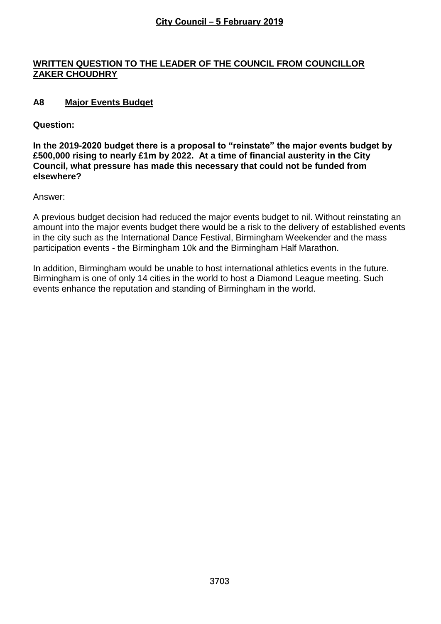# **WRITTEN QUESTION TO THE LEADER OF THE COUNCIL FROM COUNCILLOR ZAKER CHOUDHRY**

# **A8 Major Events Budget**

### **Question:**

**In the 2019-2020 budget there is a proposal to "reinstate" the major events budget by £500,000 rising to nearly £1m by 2022. At a time of financial austerity in the City Council, what pressure has made this necessary that could not be funded from elsewhere?**

Answer:

A previous budget decision had reduced the major events budget to nil. Without reinstating an amount into the major events budget there would be a risk to the delivery of established events in the city such as the International Dance Festival, Birmingham Weekender and the mass participation events - the Birmingham 10k and the Birmingham Half Marathon.

In addition, Birmingham would be unable to host international athletics events in the future. Birmingham is one of only 14 cities in the world to host a Diamond League meeting. Such events enhance the reputation and standing of Birmingham in the world.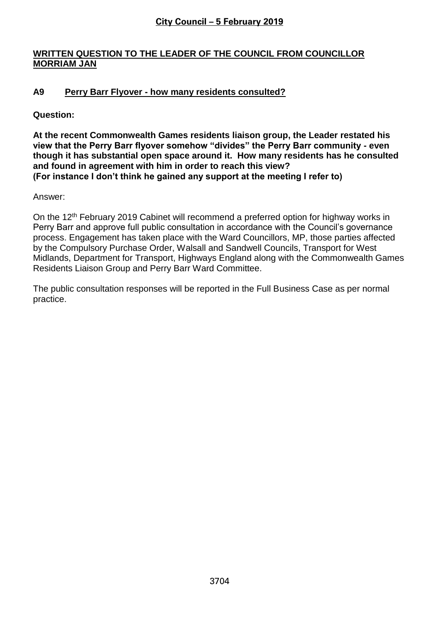# **WRITTEN QUESTION TO THE LEADER OF THE COUNCIL FROM COUNCILLOR MORRIAM JAN**

# **A9 Perry Barr Flyover - how many residents consulted?**

# **Question:**

**At the recent Commonwealth Games residents liaison group, the Leader restated his view that the Perry Barr flyover somehow "divides" the Perry Barr community - even though it has substantial open space around it. How many residents has he consulted and found in agreement with him in order to reach this view? (For instance I don't think he gained any support at the meeting I refer to)**

Answer:

On the 12<sup>th</sup> February 2019 Cabinet will recommend a preferred option for highway works in Perry Barr and approve full public consultation in accordance with the Council's governance process. Engagement has taken place with the Ward Councillors, MP, those parties affected by the Compulsory Purchase Order, Walsall and Sandwell Councils, Transport for West Midlands, Department for Transport, Highways England along with the Commonwealth Games Residents Liaison Group and Perry Barr Ward Committee.

The public consultation responses will be reported in the Full Business Case as per normal practice.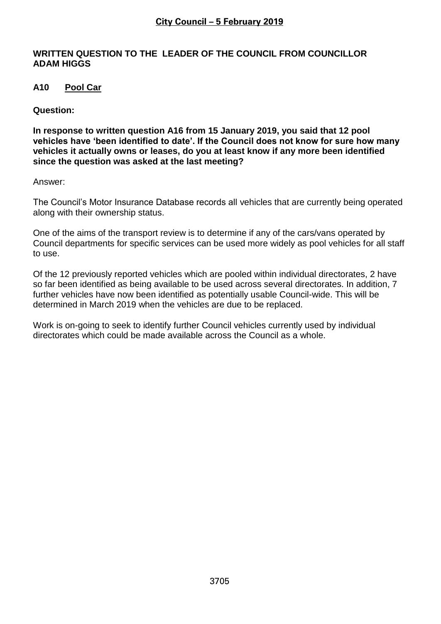### **WRITTEN QUESTION TO THE LEADER OF THE COUNCIL FROM COUNCILLOR ADAM HIGGS**

# **A10 Pool Car**

### **Question:**

**In response to written question A16 from 15 January 2019, you said that 12 pool vehicles have 'been identified to date'. If the Council does not know for sure how many vehicles it actually owns or leases, do you at least know if any more been identified since the question was asked at the last meeting?** 

#### Answer:

The Council's Motor Insurance Database records all vehicles that are currently being operated along with their ownership status.

One of the aims of the transport review is to determine if any of the cars/vans operated by Council departments for specific services can be used more widely as pool vehicles for all staff to use.

Of the 12 previously reported vehicles which are pooled within individual directorates, 2 have so far been identified as being available to be used across several directorates. In addition, 7 further vehicles have now been identified as potentially usable Council-wide. This will be determined in March 2019 when the vehicles are due to be replaced.

Work is on-going to seek to identify further Council vehicles currently used by individual directorates which could be made available across the Council as a whole.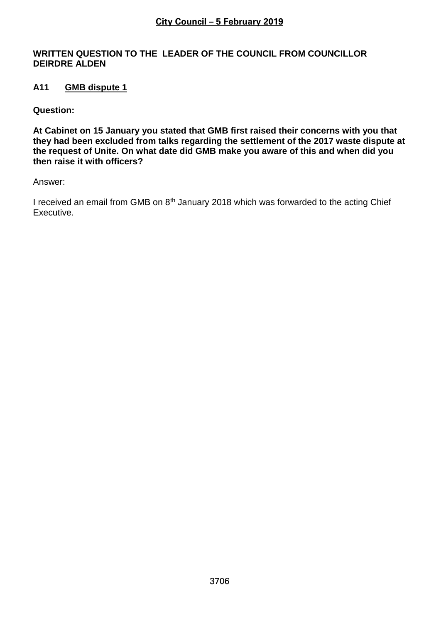### **WRITTEN QUESTION TO THE LEADER OF THE COUNCIL FROM COUNCILLOR DEIRDRE ALDEN**

# **A11 GMB dispute 1**

**Question:**

**At Cabinet on 15 January you stated that GMB first raised their concerns with you that they had been excluded from talks regarding the settlement of the 2017 waste dispute at the request of Unite. On what date did GMB make you aware of this and when did you then raise it with officers?**

Answer:

I received an email from GMB on 8<sup>th</sup> January 2018 which was forwarded to the acting Chief Executive.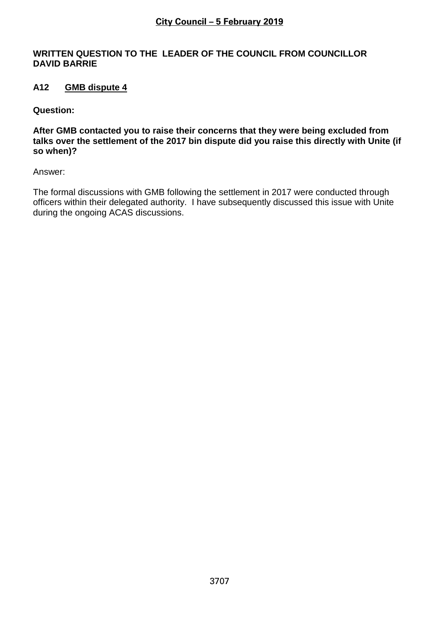### **WRITTEN QUESTION TO THE LEADER OF THE COUNCIL FROM COUNCILLOR DAVID BARRIE**

# **A12 GMB dispute 4**

**Question:**

**After GMB contacted you to raise their concerns that they were being excluded from talks over the settlement of the 2017 bin dispute did you raise this directly with Unite (if so when)?**

Answer:

The formal discussions with GMB following the settlement in 2017 were conducted through officers within their delegated authority. I have subsequently discussed this issue with Unite during the ongoing ACAS discussions.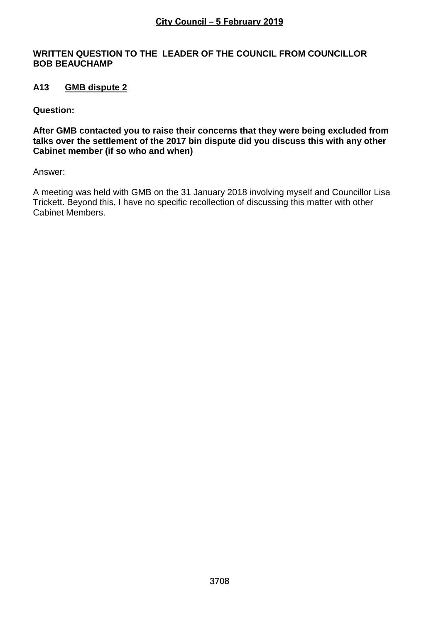### **WRITTEN QUESTION TO THE LEADER OF THE COUNCIL FROM COUNCILLOR BOB BEAUCHAMP**

# **A13 GMB dispute 2**

**Question:**

**After GMB contacted you to raise their concerns that they were being excluded from talks over the settlement of the 2017 bin dispute did you discuss this with any other Cabinet member (if so who and when)**

Answer:

A meeting was held with GMB on the 31 January 2018 involving myself and Councillor Lisa Trickett. Beyond this, I have no specific recollection of discussing this matter with other Cabinet Members.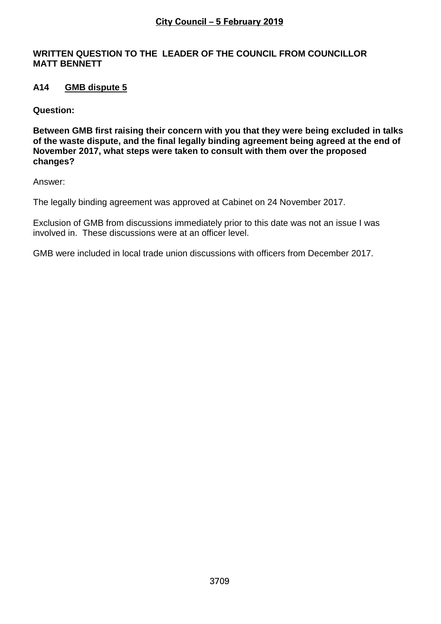### **WRITTEN QUESTION TO THE LEADER OF THE COUNCIL FROM COUNCILLOR MATT BENNETT**

# **A14 GMB dispute 5**

**Question:**

**Between GMB first raising their concern with you that they were being excluded in talks of the waste dispute, and the final legally binding agreement being agreed at the end of November 2017, what steps were taken to consult with them over the proposed changes?** 

Answer:

The legally binding agreement was approved at Cabinet on 24 November 2017.

Exclusion of GMB from discussions immediately prior to this date was not an issue I was involved in. These discussions were at an officer level.

GMB were included in local trade union discussions with officers from December 2017.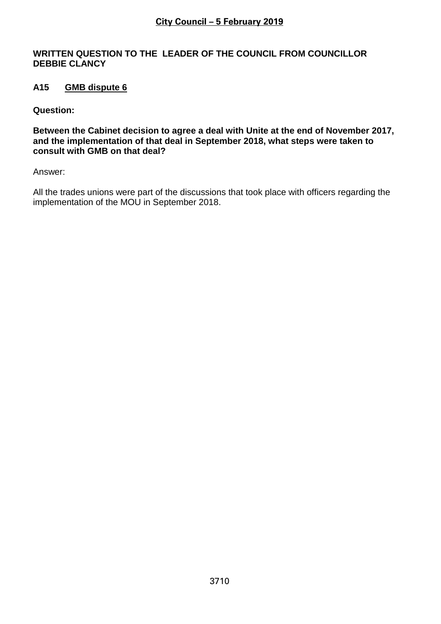### **WRITTEN QUESTION TO THE LEADER OF THE COUNCIL FROM COUNCILLOR DEBBIE CLANCY**

# **A15 GMB dispute 6**

**Question:**

**Between the Cabinet decision to agree a deal with Unite at the end of November 2017, and the implementation of that deal in September 2018, what steps were taken to consult with GMB on that deal?** 

Answer:

All the trades unions were part of the discussions that took place with officers regarding the implementation of the MOU in September 2018.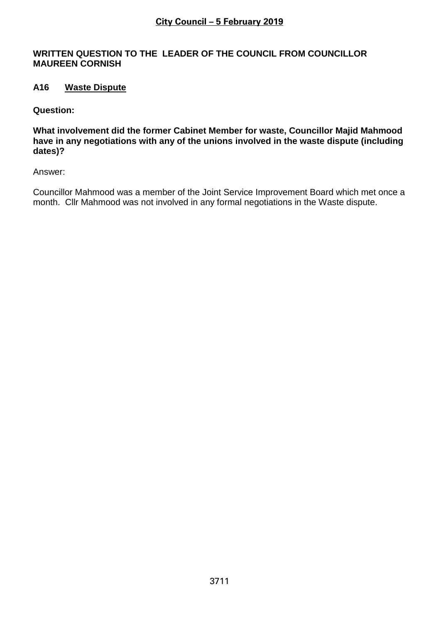### **WRITTEN QUESTION TO THE LEADER OF THE COUNCIL FROM COUNCILLOR MAUREEN CORNISH**

# **A16 Waste Dispute**

### **Question:**

**What involvement did the former Cabinet Member for waste, Councillor Majid Mahmood have in any negotiations with any of the unions involved in the waste dispute (including dates)?**

Answer:

Councillor Mahmood was a member of the Joint Service Improvement Board which met once a month. Cllr Mahmood was not involved in any formal negotiations in the Waste dispute.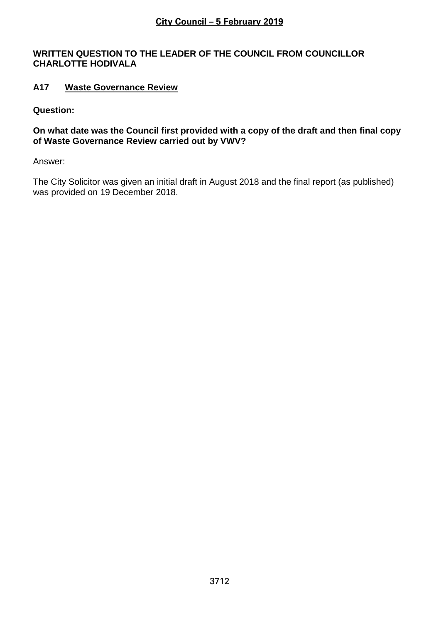### **WRITTEN QUESTION TO THE LEADER OF THE COUNCIL FROM COUNCILLOR CHARLOTTE HODIVALA**

# **A17 Waste Governance Review**

# **Question:**

### **On what date was the Council first provided with a copy of the draft and then final copy of Waste Governance Review carried out by VWV?**

Answer:

The City Solicitor was given an initial draft in August 2018 and the final report (as published) was provided on 19 December 2018.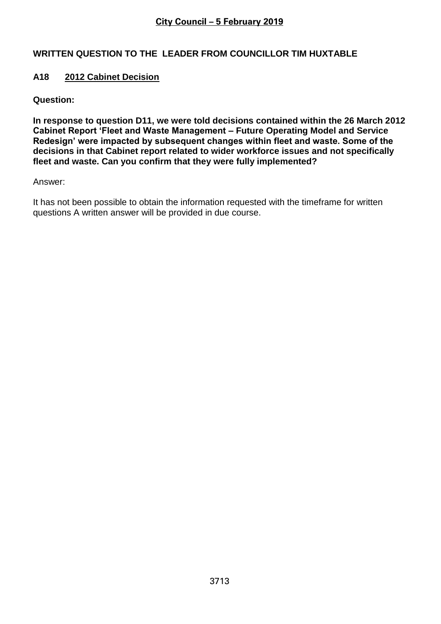# **WRITTEN QUESTION TO THE LEADER FROM COUNCILLOR TIM HUXTABLE**

# **A18 2012 Cabinet Decision**

**Question:**

**In response to question D11, we were told decisions contained within the 26 March 2012 Cabinet Report 'Fleet and Waste Management – Future Operating Model and Service Redesign' were impacted by subsequent changes within fleet and waste. Some of the decisions in that Cabinet report related to wider workforce issues and not specifically fleet and waste. Can you confirm that they were fully implemented?**

Answer:

It has not been possible to obtain the information requested with the timeframe for written questions A written answer will be provided in due course.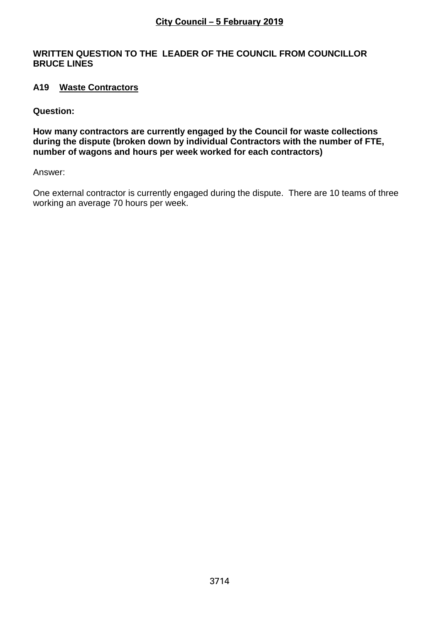### **WRITTEN QUESTION TO THE LEADER OF THE COUNCIL FROM COUNCILLOR BRUCE LINES**

# **A19 Waste Contractors**

**Question:**

**How many contractors are currently engaged by the Council for waste collections during the dispute (broken down by individual Contractors with the number of FTE, number of wagons and hours per week worked for each contractors)** 

Answer:

One external contractor is currently engaged during the dispute. There are 10 teams of three working an average 70 hours per week.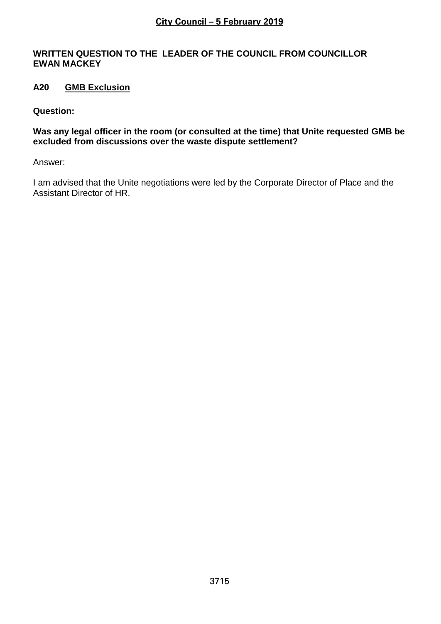### **WRITTEN QUESTION TO THE LEADER OF THE COUNCIL FROM COUNCILLOR EWAN MACKEY**

# **A20 GMB Exclusion**

### **Question:**

**Was any legal officer in the room (or consulted at the time) that Unite requested GMB be excluded from discussions over the waste dispute settlement?** 

Answer:

I am advised that the Unite negotiations were led by the Corporate Director of Place and the Assistant Director of HR.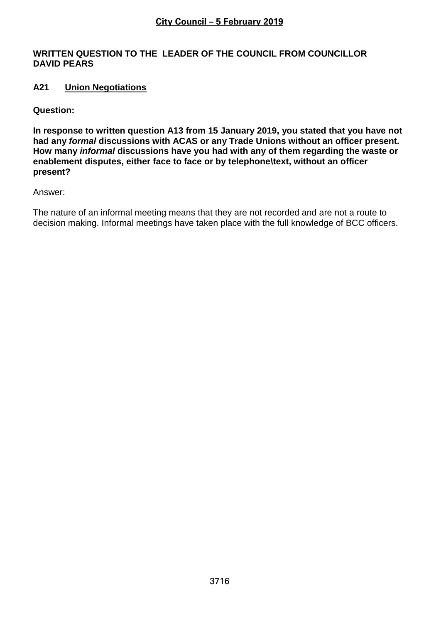### **WRITTEN QUESTION TO THE LEADER OF THE COUNCIL FROM COUNCILLOR DAVID PEARS**

# **A21 Union Negotiations**

**Question:**

**In response to written question A13 from 15 January 2019, you stated that you have not had any** *formal* **discussions with ACAS or any Trade Unions without an officer present. How many** *informal* **discussions have you had with any of them regarding the waste or enablement disputes, either face to face or by telephone\text, without an officer present?** 

Answer:

The nature of an informal meeting means that they are not recorded and are not a route to decision making. Informal meetings have taken place with the full knowledge of BCC officers.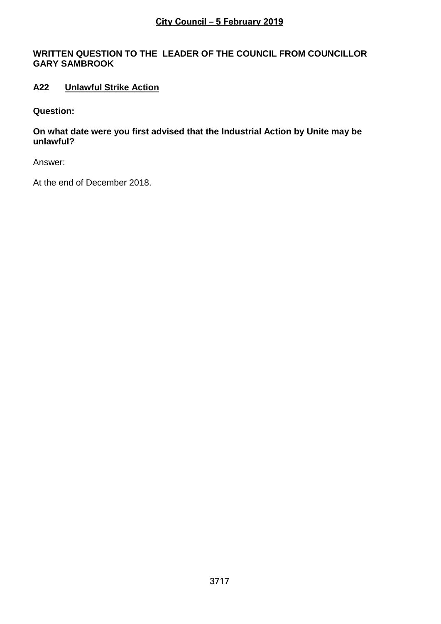# **WRITTEN QUESTION TO THE LEADER OF THE COUNCIL FROM COUNCILLOR GARY SAMBROOK**

# **A22 Unlawful Strike Action**

**Question:**

**On what date were you first advised that the Industrial Action by Unite may be unlawful?** 

Answer:

At the end of December 2018.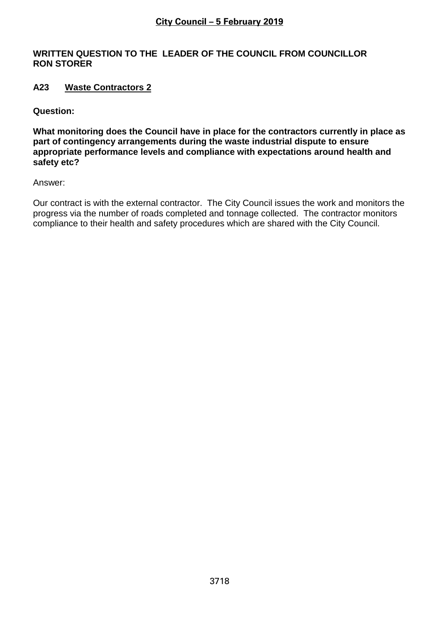### **WRITTEN QUESTION TO THE LEADER OF THE COUNCIL FROM COUNCILLOR RON STORER**

# **A23 Waste Contractors 2**

**Question:**

**What monitoring does the Council have in place for the contractors currently in place as part of contingency arrangements during the waste industrial dispute to ensure appropriate performance levels and compliance with expectations around health and safety etc?** 

Answer:

Our contract is with the external contractor. The City Council issues the work and monitors the progress via the number of roads completed and tonnage collected. The contractor monitors compliance to their health and safety procedures which are shared with the City Council.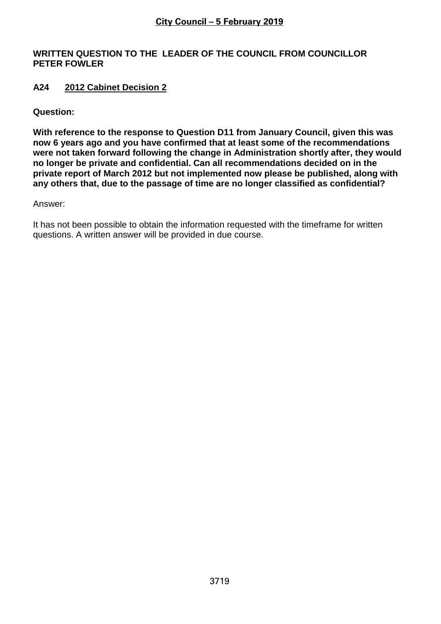### **WRITTEN QUESTION TO THE LEADER OF THE COUNCIL FROM COUNCILLOR PETER FOWLER**

# **A24 2012 Cabinet Decision 2**

### **Question:**

**With reference to the response to Question D11 from January Council, given this was now 6 years ago and you have confirmed that at least some of the recommendations were not taken forward following the change in Administration shortly after, they would no longer be private and confidential. Can all recommendations decided on in the private report of March 2012 but not implemented now please be published, along with any others that, due to the passage of time are no longer classified as confidential?** 

#### Answer:

It has not been possible to obtain the information requested with the timeframe for written questions. A written answer will be provided in due course.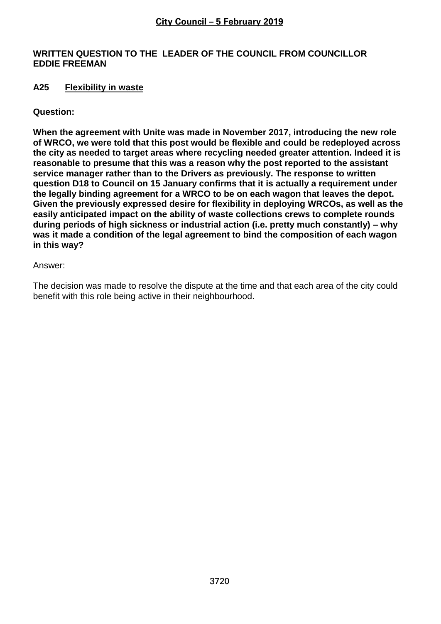### **WRITTEN QUESTION TO THE LEADER OF THE COUNCIL FROM COUNCILLOR EDDIE FREEMAN**

### **A25 Flexibility in waste**

### **Question:**

**When the agreement with Unite was made in November 2017, introducing the new role of WRCO, we were told that this post would be flexible and could be redeployed across the city as needed to target areas where recycling needed greater attention. Indeed it is reasonable to presume that this was a reason why the post reported to the assistant service manager rather than to the Drivers as previously. The response to written question D18 to Council on 15 January confirms that it is actually a requirement under the legally binding agreement for a WRCO to be on each wagon that leaves the depot. Given the previously expressed desire for flexibility in deploying WRCOs, as well as the easily anticipated impact on the ability of waste collections crews to complete rounds during periods of high sickness or industrial action (i.e. pretty much constantly) – why was it made a condition of the legal agreement to bind the composition of each wagon in this way?** 

Answer:

The decision was made to resolve the dispute at the time and that each area of the city could benefit with this role being active in their neighbourhood.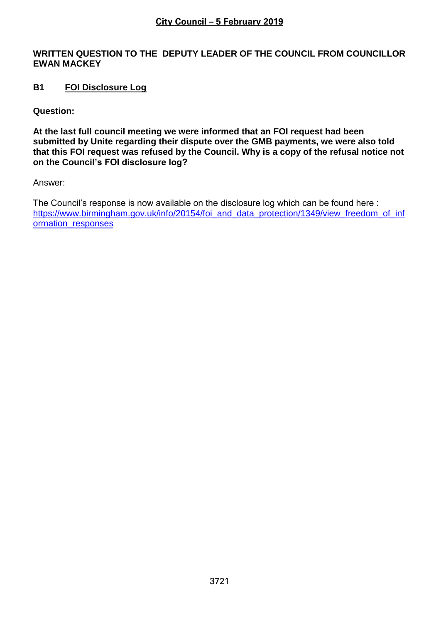### **WRITTEN QUESTION TO THE DEPUTY LEADER OF THE COUNCIL FROM COUNCILLOR EWAN MACKEY**

# **B1 FOI Disclosure Log**

**Question:**

**At the last full council meeting we were informed that an FOI request had been submitted by Unite regarding their dispute over the GMB payments, we were also told that this FOI request was refused by the Council. Why is a copy of the refusal notice not on the Council's FOI disclosure log?**

Answer:

The Council's response is now available on the disclosure log which can be found here : [https://www.birmingham.gov.uk/info/20154/foi\\_and\\_data\\_protection/1349/view\\_freedom\\_of\\_inf](https://www.birmingham.gov.uk/info/20154/foi_and_data_protection/1349/view_freedom_of_information_responses) [ormation\\_responses](https://www.birmingham.gov.uk/info/20154/foi_and_data_protection/1349/view_freedom_of_information_responses)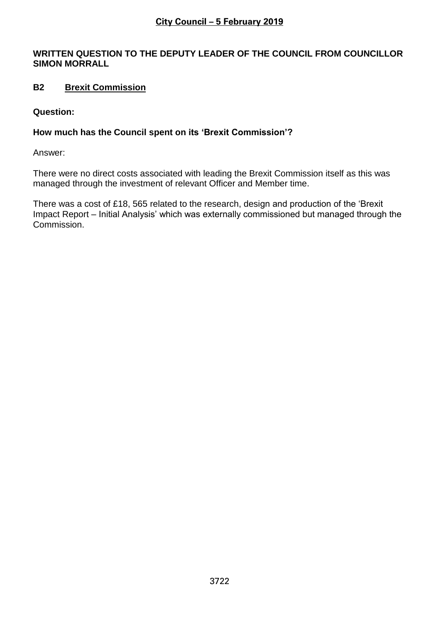# **WRITTEN QUESTION TO THE DEPUTY LEADER OF THE COUNCIL FROM COUNCILLOR SIMON MORRALL**

# **B2 Brexit Commission**

### **Question:**

# **How much has the Council spent on its 'Brexit Commission'?**

Answer:

There were no direct costs associated with leading the Brexit Commission itself as this was managed through the investment of relevant Officer and Member time.

There was a cost of £18, 565 related to the research, design and production of the 'Brexit Impact Report – Initial Analysis' which was externally commissioned but managed through the Commission.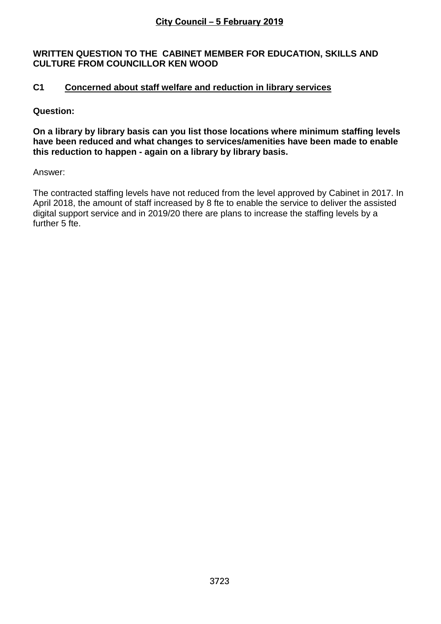### **WRITTEN QUESTION TO THE CABINET MEMBER FOR EDUCATION, SKILLS AND CULTURE FROM COUNCILLOR KEN WOOD**

# **C1 Concerned about staff welfare and reduction in library services**

### **Question:**

**On a library by library basis can you list those locations where minimum staffing levels have been reduced and what changes to services/amenities have been made to enable this reduction to happen - again on a library by library basis.**

Answer:

The contracted staffing levels have not reduced from the level approved by Cabinet in 2017. In April 2018, the amount of staff increased by 8 fte to enable the service to deliver the assisted digital support service and in 2019/20 there are plans to increase the staffing levels by a further 5 fte.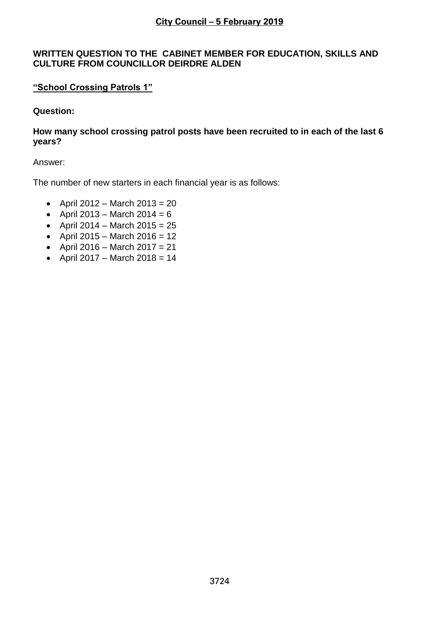### **WRITTEN QUESTION TO THE CABINET MEMBER FOR EDUCATION, SKILLS AND CULTURE FROM COUNCILLOR DEIRDRE ALDEN**

# **"School Crossing Patrols 1"**

# **Question:**

### **How many school crossing patrol posts have been recruited to in each of the last 6 years?**

### Answer:

The number of new starters in each financial year is as follows:

- April 2012 March 2013 = 20
- April 2013 March 2014 =  $6$
- April 2014 March 2015 =  $25$
- April 2015 March 2016 = 12
- April 2016 March 2017 = 21
- April 2017 March 2018 = 14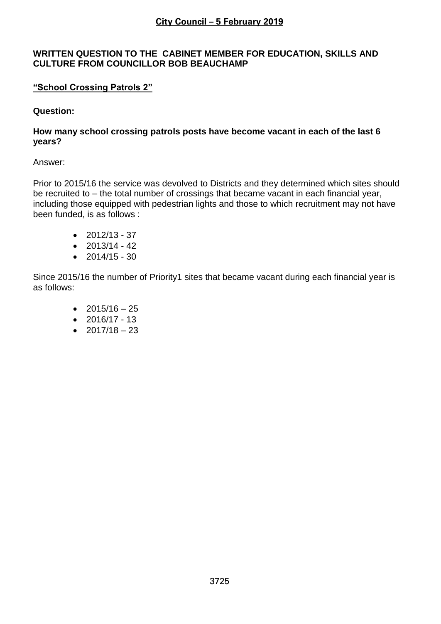### **WRITTEN QUESTION TO THE CABINET MEMBER FOR EDUCATION, SKILLS AND CULTURE FROM COUNCILLOR BOB BEAUCHAMP**

# **"School Crossing Patrols 2"**

### **Question:**

### **How many school crossing patrols posts have become vacant in each of the last 6 years?**

#### Answer:

Prior to 2015/16 the service was devolved to Districts and they determined which sites should be recruited to – the total number of crossings that became vacant in each financial year, including those equipped with pedestrian lights and those to which recruitment may not have been funded, is as follows :

- $2012/13 37$
- $\bullet$  2013/14 42
- $\bullet$  2014/15 30

Since 2015/16 the number of Priority1 sites that became vacant during each financial year is as follows:

- $2015/16 25$
- $2016/17 13$
- $2017/18 23$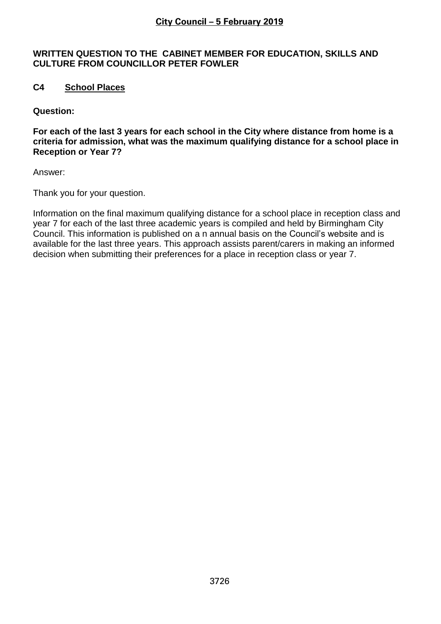### **WRITTEN QUESTION TO THE CABINET MEMBER FOR EDUCATION, SKILLS AND CULTURE FROM COUNCILLOR PETER FOWLER**

# **C4 School Places**

**Question:**

**For each of the last 3 years for each school in the City where distance from home is a criteria for admission, what was the maximum qualifying distance for a school place in Reception or Year 7?**

Answer:

Thank you for your question.

Information on the final maximum qualifying distance for a school place in reception class and year 7 for each of the last three academic years is compiled and held by Birmingham City Council. This information is published on a n annual basis on the Council's website and is available for the last three years. This approach assists parent/carers in making an informed decision when submitting their preferences for a place in reception class or year 7.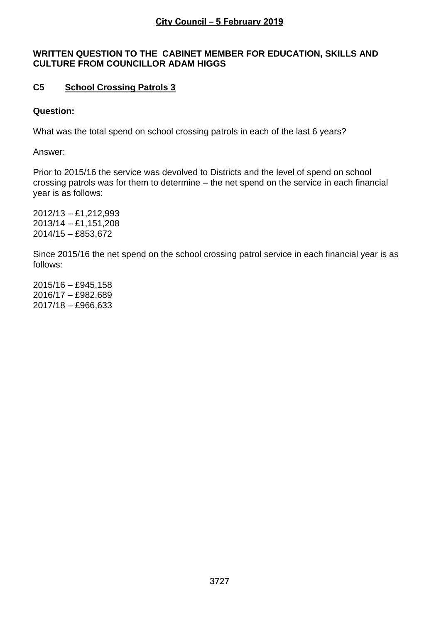### **WRITTEN QUESTION TO THE CABINET MEMBER FOR EDUCATION, SKILLS AND CULTURE FROM COUNCILLOR ADAM HIGGS**

# **C5 School Crossing Patrols 3**

### **Question:**

What was the total spend on school crossing patrols in each of the last 6 years?

Answer:

Prior to 2015/16 the service was devolved to Districts and the level of spend on school crossing patrols was for them to determine – the net spend on the service in each financial year is as follows:

2012/13 – £1,212,993 2013/14 – £1,151,208 2014/15 – £853,672

Since 2015/16 the net spend on the school crossing patrol service in each financial year is as follows:

2015/16 – £945,158 2016/17 – £982,689 2017/18 – £966,633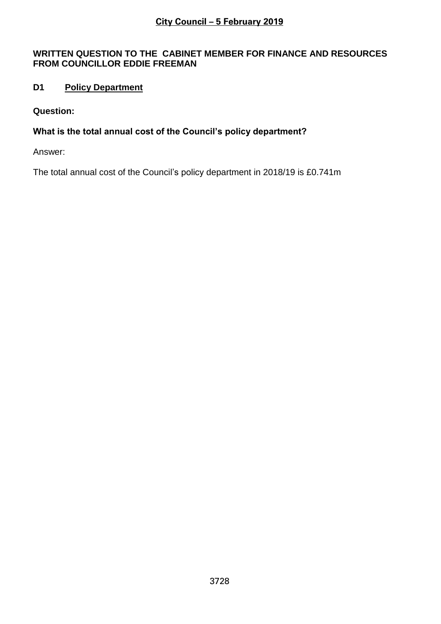### **WRITTEN QUESTION TO THE CABINET MEMBER FOR FINANCE AND RESOURCES FROM COUNCILLOR EDDIE FREEMAN**

# **D1 Policy Department**

### **Question:**

# **What is the total annual cost of the Council's policy department?**

Answer:

The total annual cost of the Council's policy department in 2018/19 is £0.741m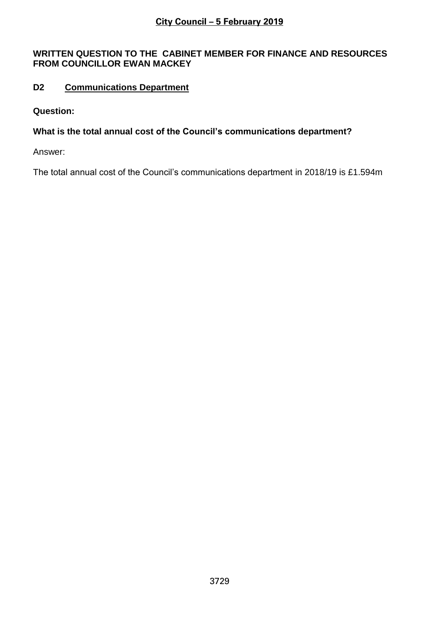### **WRITTEN QUESTION TO THE CABINET MEMBER FOR FINANCE AND RESOURCES FROM COUNCILLOR EWAN MACKEY**

# **D2 Communications Department**

### **Question:**

# **What is the total annual cost of the Council's communications department?**

Answer:

The total annual cost of the Council's communications department in 2018/19 is £1.594m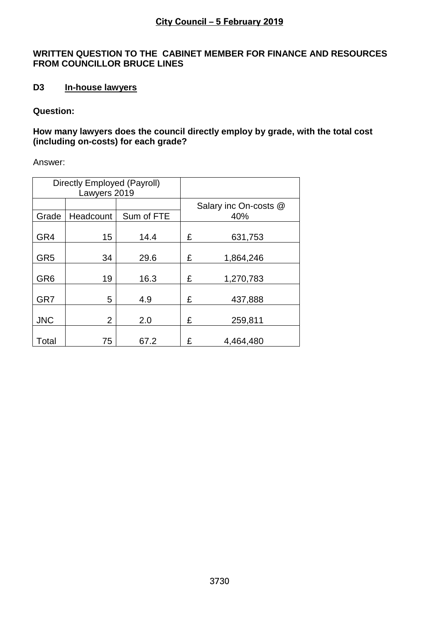### **WRITTEN QUESTION TO THE CABINET MEMBER FOR FINANCE AND RESOURCES FROM COUNCILLOR BRUCE LINES**

# **D3 In-house lawyers**

### **Question:**

### **How many lawyers does the council directly employ by grade, with the total cost (including on-costs) for each grade?**

Answer:

| Directly Employed (Payroll)<br>Lawyers 2019 |                |            |   |                       |
|---------------------------------------------|----------------|------------|---|-----------------------|
|                                             |                |            |   | Salary inc On-costs @ |
| Grade                                       | Headcount      | Sum of FTE |   | 40%                   |
| GR4                                         | 15             | 14.4       | £ | 631,753               |
| GR <sub>5</sub>                             | 34             | 29.6       | £ | 1,864,246             |
| GR <sub>6</sub>                             | 19             | 16.3       | £ | 1,270,783             |
| GR7                                         | 5              | 4.9        | £ | 437,888               |
| <b>JNC</b>                                  | $\overline{2}$ | 2.0        | £ | 259,811               |
| Total                                       | 75             | 67.2       | £ | 4,464,480             |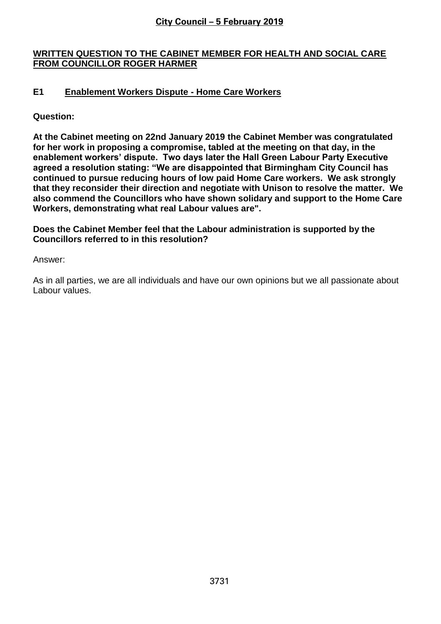### **WRITTEN QUESTION TO THE CABINET MEMBER FOR HEALTH AND SOCIAL CARE FROM COUNCILLOR ROGER HARMER**

# **E1 Enablement Workers Dispute - Home Care Workers**

**Question:**

**At the Cabinet meeting on 22nd January 2019 the Cabinet Member was congratulated for her work in proposing a compromise, tabled at the meeting on that day, in the enablement workers' dispute. Two days later the Hall Green Labour Party Executive agreed a resolution stating: "We are disappointed that Birmingham City Council has continued to pursue reducing hours of low paid Home Care workers. We ask strongly that they reconsider their direction and negotiate with Unison to resolve the matter. We also commend the Councillors who have shown solidary and support to the Home Care Workers, demonstrating what real Labour values are".** 

**Does the Cabinet Member feel that the Labour administration is supported by the Councillors referred to in this resolution?**

Answer:

As in all parties, we are all individuals and have our own opinions but we all passionate about Labour values.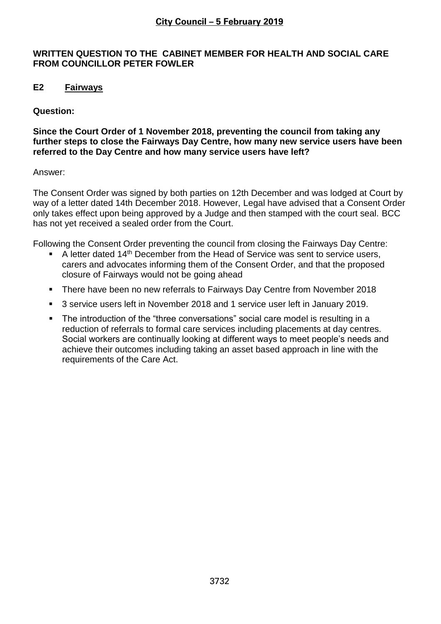### **WRITTEN QUESTION TO THE CABINET MEMBER FOR HEALTH AND SOCIAL CARE FROM COUNCILLOR PETER FOWLER**

# **E2 Fairways**

### **Question:**

### **Since the Court Order of 1 November 2018, preventing the council from taking any further steps to close the Fairways Day Centre, how many new service users have been referred to the Day Centre and how many service users have left?**

### Answer:

The Consent Order was signed by both parties on 12th December and was lodged at Court by way of a letter dated 14th December 2018. However, Legal have advised that a Consent Order only takes effect upon being approved by a Judge and then stamped with the court seal. BCC has not yet received a sealed order from the Court.

Following the Consent Order preventing the council from closing the Fairways Day Centre:

- A letter dated 14<sup>th</sup> December from the Head of Service was sent to service users, carers and advocates informing them of the Consent Order, and that the proposed closure of Fairways would not be going ahead
- There have been no new referrals to Fairways Day Centre from November 2018
- 3 service users left in November 2018 and 1 service user left in January 2019.
- The introduction of the "three conversations" social care model is resulting in a reduction of referrals to formal care services including placements at day centres. Social workers are continually looking at different ways to meet people's needs and achieve their outcomes including taking an asset based approach in line with the requirements of the Care Act.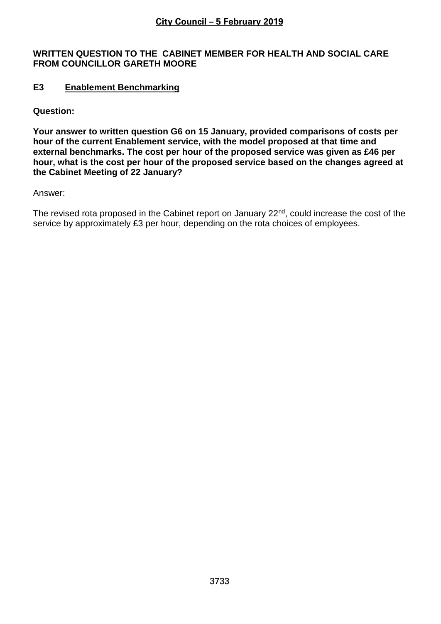### **WRITTEN QUESTION TO THE CABINET MEMBER FOR HEALTH AND SOCIAL CARE FROM COUNCILLOR GARETH MOORE**

### **E3 Enablement Benchmarking**

**Question:**

**Your answer to written question G6 on 15 January, provided comparisons of costs per hour of the current Enablement service, with the model proposed at that time and external benchmarks. The cost per hour of the proposed service was given as £46 per hour, what is the cost per hour of the proposed service based on the changes agreed at the Cabinet Meeting of 22 January?** 

Answer:

The revised rota proposed in the Cabinet report on January  $22<sup>nd</sup>$ , could increase the cost of the service by approximately £3 per hour, depending on the rota choices of employees.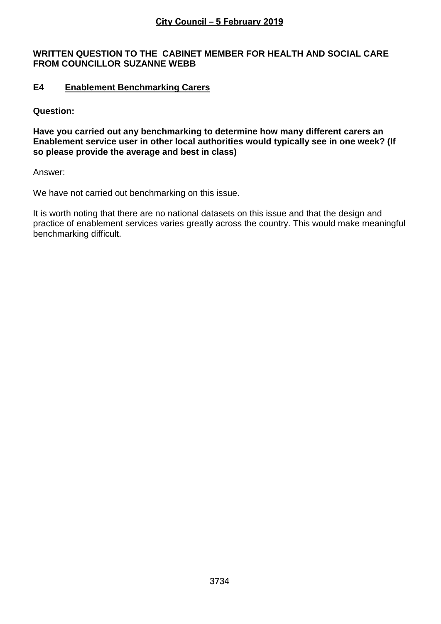#### **WRITTEN QUESTION TO THE CABINET MEMBER FOR HEALTH AND SOCIAL CARE FROM COUNCILLOR SUZANNE WEBB**

### **E4 Enablement Benchmarking Carers**

**Question:**

**Have you carried out any benchmarking to determine how many different carers an Enablement service user in other local authorities would typically see in one week? (If so please provide the average and best in class)** 

Answer:

We have not carried out benchmarking on this issue.

It is worth noting that there are no national datasets on this issue and that the design and practice of enablement services varies greatly across the country. This would make meaningful benchmarking difficult.